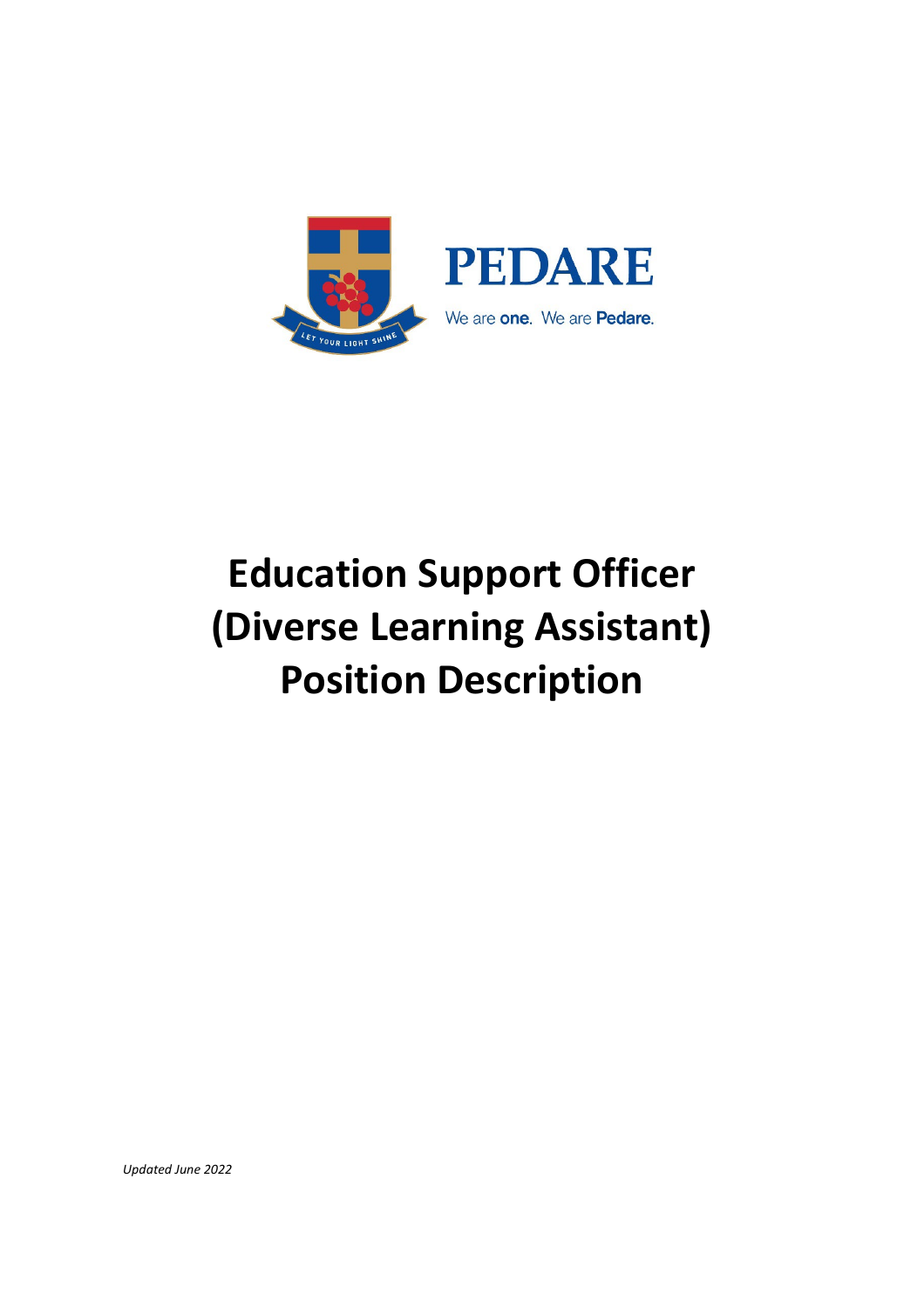

# **Education Support Officer (Diverse Learning Assistant) Position Description**

*Updated June 2022*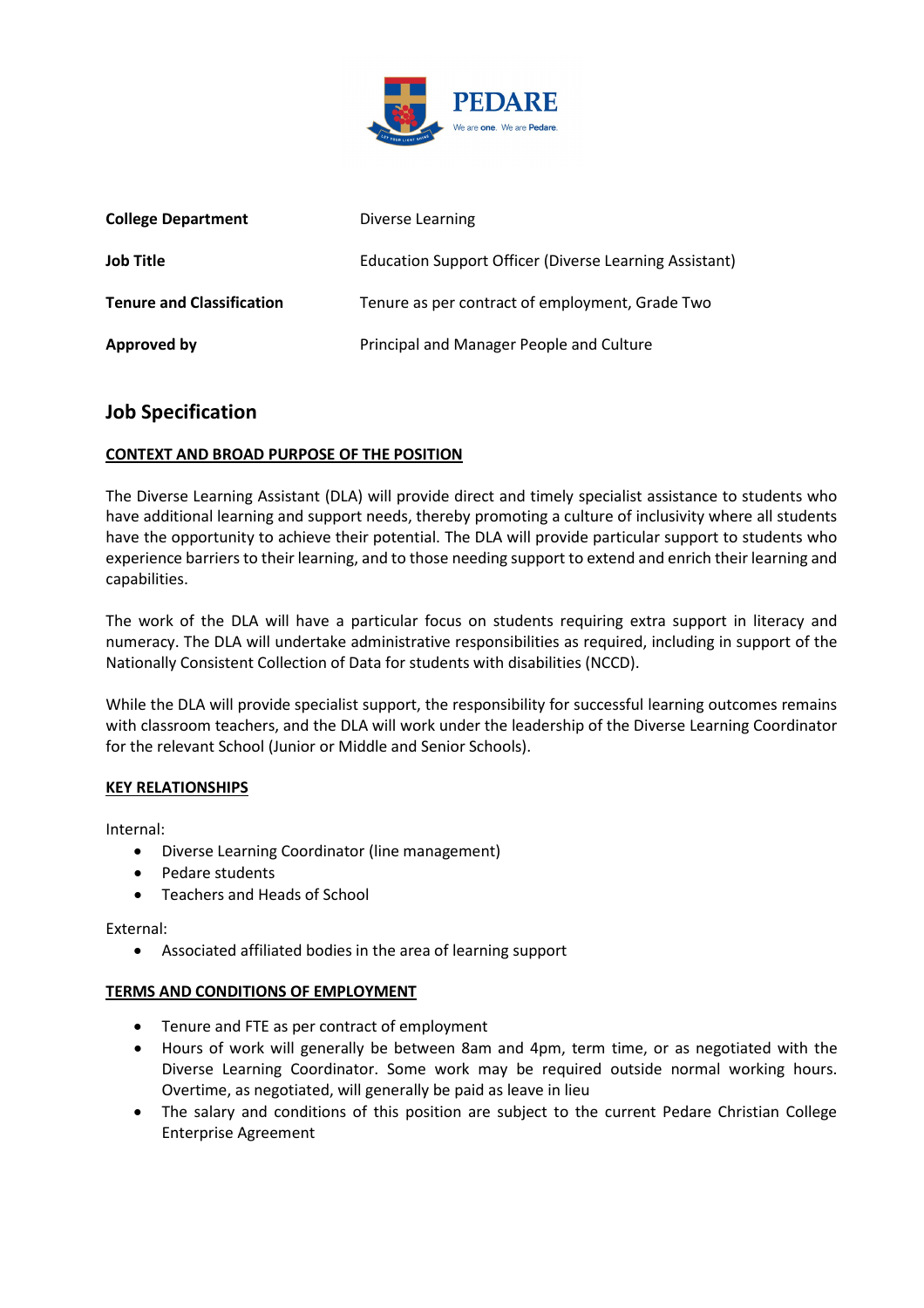

| <b>College Department</b>        | <b>Diverse Learning</b>                                |
|----------------------------------|--------------------------------------------------------|
| <b>Job Title</b>                 | Education Support Officer (Diverse Learning Assistant) |
| <b>Tenure and Classification</b> | Tenure as per contract of employment, Grade Two        |
| <b>Approved by</b>               | Principal and Manager People and Culture               |

## **Job Specification**

## **CONTEXT AND BROAD PURPOSE OF THE POSITION**

The Diverse Learning Assistant (DLA) will provide direct and timely specialist assistance to students who have additional learning and support needs, thereby promoting a culture of inclusivity where all students have the opportunity to achieve their potential. The DLA will provide particular support to students who experience barriers to their learning, and to those needing support to extend and enrich their learning and capabilities.

The work of the DLA will have a particular focus on students requiring extra support in literacy and numeracy. The DLA will undertake administrative responsibilities as required, including in support of the Nationally Consistent Collection of Data for students with disabilities (NCCD).

While the DLA will provide specialist support, the responsibility for successful learning outcomes remains with classroom teachers, and the DLA will work under the leadership of the Diverse Learning Coordinator for the relevant School (Junior or Middle and Senior Schools).

### **KEY RELATIONSHIPS**

Internal:

- Diverse Learning Coordinator (line management)
- Pedare students
- Teachers and Heads of School

External:

• Associated affiliated bodies in the area of learning support

### **TERMS AND CONDITIONS OF EMPLOYMENT**

- Tenure and FTE as per contract of employment
- Hours of work will generally be between 8am and 4pm, term time, or as negotiated with the Diverse Learning Coordinator. Some work may be required outside normal working hours. Overtime, as negotiated, will generally be paid as leave in lieu
- The salary and conditions of this position are subject to the current Pedare Christian College Enterprise Agreement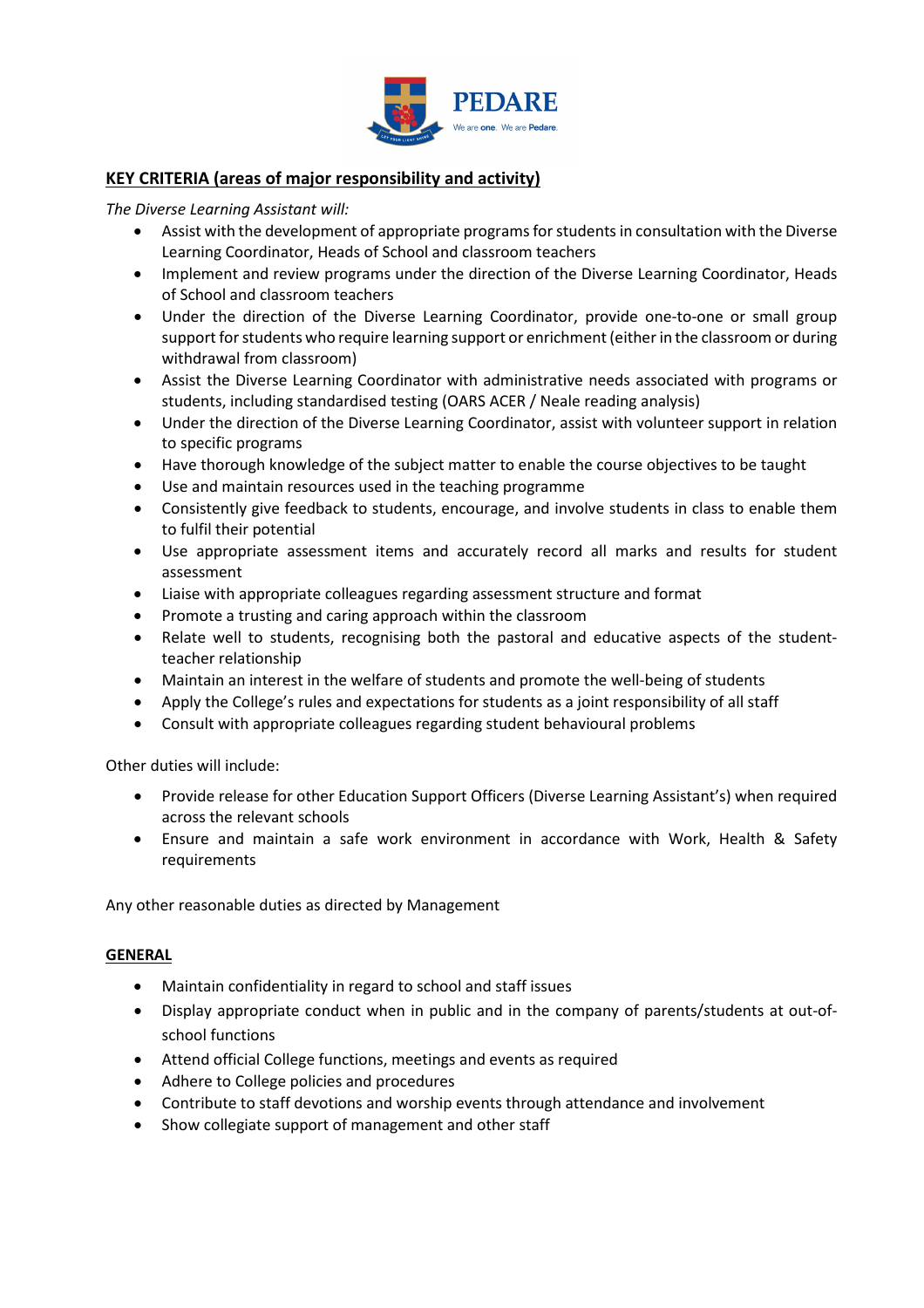

## **KEY CRITERIA (areas of major responsibility and activity)**

*The Diverse Learning Assistant will:*

- Assist with the development of appropriate programs for students in consultation with the Diverse Learning Coordinator, Heads of School and classroom teachers
- Implement and review programs under the direction of the Diverse Learning Coordinator, Heads of School and classroom teachers
- Under the direction of the Diverse Learning Coordinator, provide one-to-one or small group support for students who require learning support or enrichment (either in the classroom or during withdrawal from classroom)
- Assist the Diverse Learning Coordinator with administrative needs associated with programs or students, including standardised testing (OARS ACER / Neale reading analysis)
- Under the direction of the Diverse Learning Coordinator, assist with volunteer support in relation to specific programs
- Have thorough knowledge of the subject matter to enable the course objectives to be taught
- Use and maintain resources used in the teaching programme
- Consistently give feedback to students, encourage, and involve students in class to enable them to fulfil their potential
- Use appropriate assessment items and accurately record all marks and results for student assessment
- Liaise with appropriate colleagues regarding assessment structure and format
- Promote a trusting and caring approach within the classroom
- Relate well to students, recognising both the pastoral and educative aspects of the studentteacher relationship
- Maintain an interest in the welfare of students and promote the well-being of students
- Apply the College's rules and expectations for students as a joint responsibility of all staff
- Consult with appropriate colleagues regarding student behavioural problems

Other duties will include:

- Provide release for other Education Support Officers (Diverse Learning Assistant's) when required across the relevant schools
- Ensure and maintain a safe work environment in accordance with Work, Health & Safety requirements

Any other reasonable duties as directed by Management

### **GENERAL**

- Maintain confidentiality in regard to school and staff issues
- Display appropriate conduct when in public and in the company of parents/students at out-ofschool functions
- Attend official College functions, meetings and events as required
- Adhere to College policies and procedures
- Contribute to staff devotions and worship events through attendance and involvement
- Show collegiate support of management and other staff